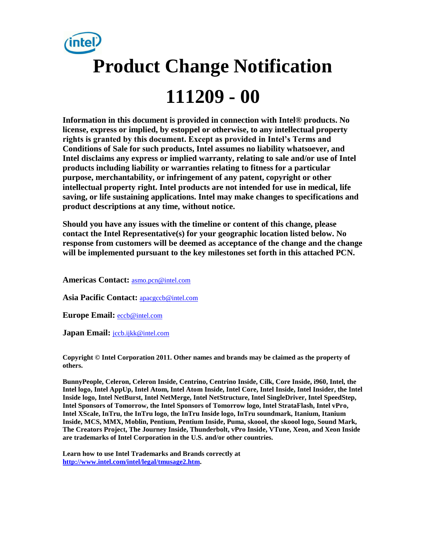

**Information in this document is provided in connection with Intel® products. No license, express or implied, by estoppel or otherwise, to any intellectual property rights is granted by this document. Except as provided in Intel's Terms and Conditions of Sale for such products, Intel assumes no liability whatsoever, and Intel disclaims any express or implied warranty, relating to sale and/or use of Intel products including liability or warranties relating to fitness for a particular purpose, merchantability, or infringement of any patent, copyright or other intellectual property right. Intel products are not intended for use in medical, life saving, or life sustaining applications. Intel may make changes to specifications and product descriptions at any time, without notice.** 

**Should you have any issues with the timeline or content of this change, please contact the Intel Representative(s) for your geographic location listed below. No response from customers will be deemed as acceptance of the change and the change will be implemented pursuant to the key milestones set forth in this attached PCN.** 

**Americas Contact:** [asmo.pcn@intel.com](mailto:asmo.pcn@intel.com) 

**Asia Pacific Contact:** [apacgccb@intel.com](mailto:apacgccb@intel.com) 

**Europe Email:** [eccb@intel.com](mailto:eccb@intel.com) 

Japan Email: **jccb.ijkk@intel.com** 

**Copyright © Intel Corporation 2011. Other names and brands may be claimed as the property of others.**

**BunnyPeople, Celeron, Celeron Inside, Centrino, Centrino Inside, Cilk, Core Inside, i960, Intel, the Intel logo, Intel AppUp, Intel Atom, Intel Atom Inside, Intel Core, Intel Inside, Intel Insider, the Intel Inside logo, Intel NetBurst, Intel NetMerge, Intel NetStructure, Intel SingleDriver, Intel SpeedStep, Intel Sponsors of Tomorrow, the Intel Sponsors of Tomorrow logo, Intel StrataFlash, Intel vPro, Intel XScale, InTru, the InTru logo, the InTru Inside logo, InTru soundmark, Itanium, Itanium Inside, MCS, MMX, Moblin, Pentium, Pentium Inside, Puma, skoool, the skoool logo, Sound Mark, The Creators Project, The Journey Inside, Thunderbolt, vPro Inside, VTune, Xeon, and Xeon Inside are trademarks of Intel Corporation in the U.S. and/or other countries.**

**Learn how to use Intel Trademarks and Brands correctly at [http://www.intel.com/intel/legal/tmusage2.htm.](http://www.intel.com/intel/legal/tmusage2.htm)**